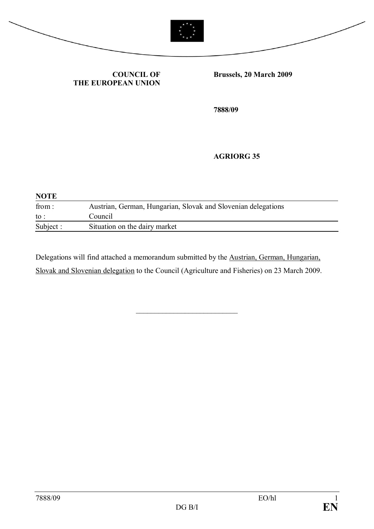



#### **COUNCIL OF THE EUROPEAN UNION**

**Brussels, 20 March 2009**

**7888/09**

#### **AGRIORG 35**

| <b>NOTE</b>     |                                                               |  |
|-----------------|---------------------------------------------------------------|--|
| from:           | Austrian, German, Hungarian, Slovak and Slovenian delegations |  |
| $\mathrm{to}$ : | Council                                                       |  |
| Subject :       | Situation on the dairy market                                 |  |

Delegations will find attached a memorandum submitted by the Austrian, German, Hungarian, Slovak and Slovenian delegation to the Council (Agriculture and Fisheries) on 23 March 2009.

\_\_\_\_\_\_\_\_\_\_\_\_\_\_\_\_\_\_\_\_\_\_\_\_\_\_\_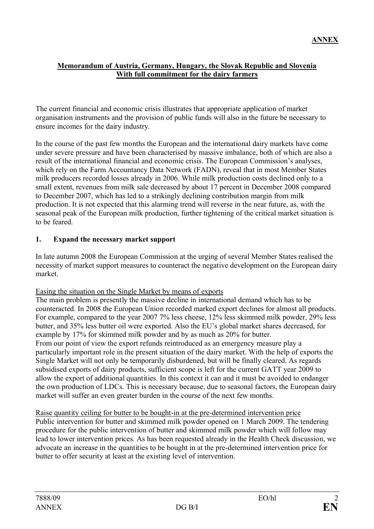#### **Memorandum of Austria, Germany, Hungary, the Slovak Republic and Slovenia With full commitment for the dairy farmers**

The current financial and economic crisis illustrates that appropriate application of market organisation instruments and the provision of public funds will also in the future be necessary to ensure incomes for the dairy industry.

In the course of the past few months the European and the international dairy markets have come under severe pressure and have been characterised by massive imbalance, both of which are also a result of the international financial and economic crisis. The European Commission's analyses, which rely on the Farm Accountancy Data Network (FADN), reveal that in most Member States milk producers recorded losses already in 2006. While milk production costs declined only to a small extent, revenues from milk sale decreased by about 17 percent in December 2008 compared to December 2007, which has led to a strikingly declining contribution margin from milk production. It is not expected that this alarming trend will reverse in the near future, as, with the seasonal peak of the European milk production, further tightening of the critical market situation is to be feared.

## **1. Expand the necessary market support**

In late autumn 2008 the European Commission at the urging of several Member States realised the necessity of market support measures to counteract the negative development on the European dairy market.

### Easing the situation on the Single Market by means of exports

The main problem is presently the massive decline in international demand which has to be counteracted. In 2008 the European Union recorded marked export declines for almost all products. For example, compared to the year 2007 7% less cheese, 12% less skimmed milk powder, 29% less butter, and 35% less butter oil were exported. Also the EU's global market shares decreased, for example by 17% for skimmed milk powder and by as much as 20% for butter. From our point of view the export refunds reintroduced as an emergency measure play a particularly important role in the present situation of the dairy market. With the help of exports the Single Market will not only be temporarily disburdened, but will be finally cleared. As regards subsidised exports of dairy products, sufficient scope is left for the current GATT year 2009 to allow the export of additional quantities. In this context it can and it must be avoided to endanger the own production of LDCs. This is necessary because, due to seasonal factors, the European dairy market will suffer an even greater burden in the course of the next few months.

### Raise quantity ceiling for butter to be bought-in at the pre-determined intervention price

Public intervention for butter and skimmed milk powder opened on 1 March 2009. The tendering procedure for the public intervention of butter and skimmed milk powder which will follow may lead to lower intervention prices. As has been requested already in the Health Check discussion, we advocate an increase in the quantities to be bought in at the pre-determined intervention price for butter to offer security at least at the existing level of intervention.